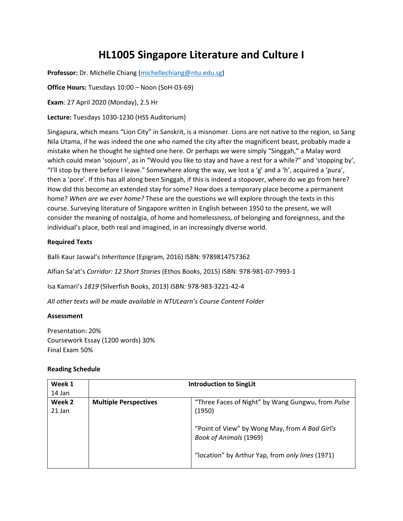## **HL1005 Singapore Literature and Culture I**

**Professor:** Dr. Michelle Chiang [\(michellechiang@ntu.edu.sg\)](mailto:michellechiang@ntu.edu.sg)

**Office Hours:** Tuesdays 10:00 – Noon (SoH-03-69)

**Exam**: 27 April 2020 (Monday), 2.5 Hr

**Lecture:** Tuesdays 1030-1230 (HSS Auditorium)

Singapura, which means "Lion City" in Sanskrit, is a misnomer. Lions are not native to the region, so Sang Nila Utama, if he was indeed the one who named the city after the magnificent beast, probably made a mistake when he thought he sighted one here. Or perhaps we were simply "Singgah," a Malay word which could mean 'sojourn', as in "Would you like to stay and have a rest for a while?" and 'stopping by', "I'll stop by there before I leave." Somewhere along the way, we lost a 'g' and a 'h', acquired a 'pura', then a 'pore'. If this has all along been Singgah, if this is indeed a stopover, where do we go from here? How did this become an extended stay for some? How does a temporary place become a permanent home? *When are we ever home?* These are the questions we will explore through the texts in this course. Surveying literature of Singapore written in English between 1950 to the present, we will consider the meaning of nostalgia, of home and homelessness, of belonging and foreignness, and the individual's place, both real and imagined, in an increasingly diverse world.

## **Required Texts**

Balli Kaur Jaswal's *Inheritance* (Epigram, 2016) ISBN: 9789814757362

Alfian Sa'at's *Corridor: 12 Short Stories* (Ethos Books, 2015) ISBN: 978-981-07-7993-1

Isa Kamari's *1819* (Silverfish Books, 2013) ISBN: 978-983-3221-42-4

*All other texts will be made available in NTULearn's Course Content Folder*

## **Assessment**

Presentation: 20% Coursework Essay (1200 words) 30% Final Exam 50%

## **Reading Schedule**

| Week 1             | <b>Introduction to SingLit</b> |                                                                                 |
|--------------------|--------------------------------|---------------------------------------------------------------------------------|
| 14 Jan             |                                |                                                                                 |
| Week 2<br>$21$ Jan | <b>Multiple Perspectives</b>   | "Three Faces of Night" by Wang Gungwu, from Pulse<br>(1950)                     |
|                    |                                | "Point of View" by Wong May, from A Bad Girl's<br><b>Book of Animals (1969)</b> |
|                    |                                | "location" by Arthur Yap, from only lines (1971)                                |